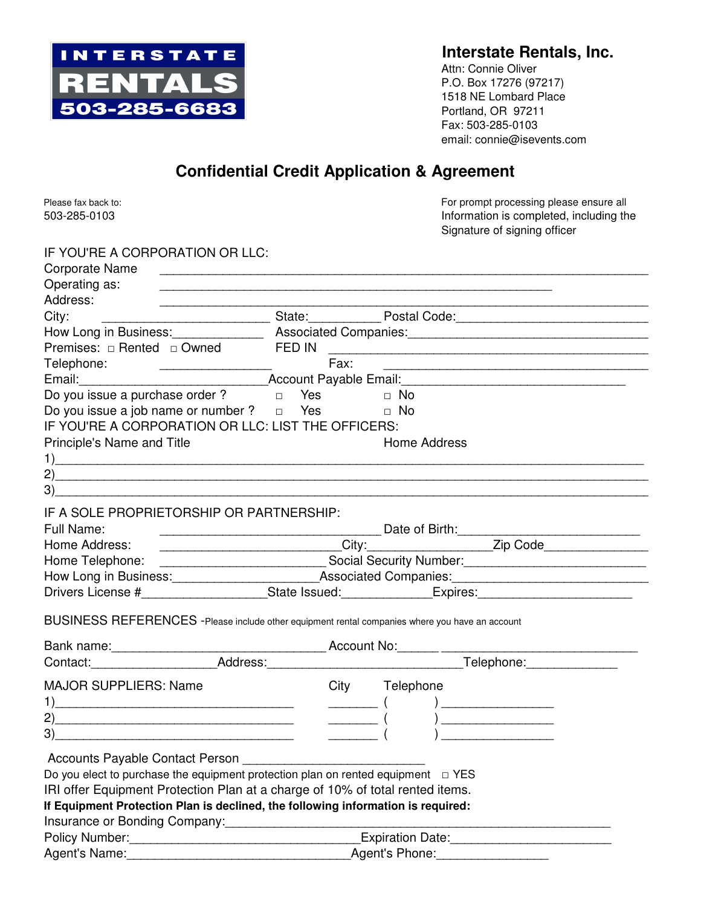

## **Interstate Rentals, Inc.**

Attn: Connie Oliver P.O. Box 17276 (97217) 1518 NE Lombard Place Portland, OR 97211 Fax: 503-285-0103 email: connie@isevents.com

## **Confidential Credit Application & Agreement**

| Please fax back to:<br>503-285-0103                                                                  |        | For prompt processing please ensure all<br>Information is completed, including the<br>Signature of signing officer                                                                                                                |
|------------------------------------------------------------------------------------------------------|--------|-----------------------------------------------------------------------------------------------------------------------------------------------------------------------------------------------------------------------------------|
| IF YOU'RE A CORPORATION OR LLC:                                                                      |        |                                                                                                                                                                                                                                   |
| <b>Corporate Name</b>                                                                                |        |                                                                                                                                                                                                                                   |
| Operating as:                                                                                        |        |                                                                                                                                                                                                                                   |
| Address:                                                                                             |        |                                                                                                                                                                                                                                   |
| City:                                                                                                |        | _______________________________State:__________________Postal Code:_________________________________                                                                                                                              |
|                                                                                                      |        |                                                                                                                                                                                                                                   |
| Premises: □ Rented □ Owned                                                                           | FED IN |                                                                                                                                                                                                                                   |
| Telephone:                                                                                           | Fax:   |                                                                                                                                                                                                                                   |
|                                                                                                      |        |                                                                                                                                                                                                                                   |
| Do you issue a purchase order? $\Box$ Yes                                                            |        | $\Box$ No                                                                                                                                                                                                                         |
| Do you issue a job name or number ? $\Box$ Yes                                                       |        | $\Box$ No                                                                                                                                                                                                                         |
| IF YOU'RE A CORPORATION OR LLC: LIST THE OFFICERS:                                                   |        |                                                                                                                                                                                                                                   |
| Principle's Name and Title                                                                           |        | <b>Home Address</b>                                                                                                                                                                                                               |
|                                                                                                      |        | $\mathbf{1}$ (1) and the set of the set of the set of the set of the set of the set of the set of the set of the set of the set of the set of the set of the set of the set of the set of the set of the set of the set of the se |
| 2)                                                                                                   |        |                                                                                                                                                                                                                                   |
| 3)                                                                                                   |        |                                                                                                                                                                                                                                   |
| IF A SOLE PROPRIETORSHIP OR PARTNERSHIP:<br>Full Name:                                               |        |                                                                                                                                                                                                                                   |
| Home Address:                                                                                        |        |                                                                                                                                                                                                                                   |
|                                                                                                      |        | Home Telephone: _________________________________Social Security Number:____________________________                                                                                                                              |
|                                                                                                      |        |                                                                                                                                                                                                                                   |
|                                                                                                      |        |                                                                                                                                                                                                                                   |
| BUSINESS REFERENCES - Please include other equipment rental companies where you have an account      |        |                                                                                                                                                                                                                                   |
|                                                                                                      |        |                                                                                                                                                                                                                                   |
|                                                                                                      |        | Bank name:<br>Contact: Contact: Contact: Contact: Contact: Contact: Contact: Contact: Contact: Contact: Contact: Contact: Contact: Contact: Contact: Contact: Contact: Contact: Contact: Contact: Contact: Contact: Contact: Con  |
| <b>MAJOR SUPPLIERS: Name</b>                                                                         |        | City Telephone                                                                                                                                                                                                                    |
| 1)<br><u> 1989 - Johann Stoff, amerikansk politiker (d. 1989)</u>                                    |        | $\overline{a}$                                                                                                                                                                                                                    |
| 2)                                                                                                   |        |                                                                                                                                                                                                                                   |
| 3)                                                                                                   |        |                                                                                                                                                                                                                                   |
|                                                                                                      |        |                                                                                                                                                                                                                                   |
| Accounts Payable Contact Person                                                                      |        |                                                                                                                                                                                                                                   |
| Do you elect to purchase the equipment protection plan on rented equipment $\Box$ YES                |        |                                                                                                                                                                                                                                   |
| IRI offer Equipment Protection Plan at a charge of 10% of total rented items.                        |        |                                                                                                                                                                                                                                   |
| If Equipment Protection Plan is declined, the following information is required:                     |        |                                                                                                                                                                                                                                   |
| Insurance or Bonding Company: [19] [19] Discrept Products Andrew Products Andrew Products Andrew Pro |        |                                                                                                                                                                                                                                   |
| Policy Number: National Policy Number:                                                               |        | Expiration Date:                                                                                                                                                                                                                  |
| Agent's Name:                                                                                        |        | Agent's Phone:                                                                                                                                                                                                                    |